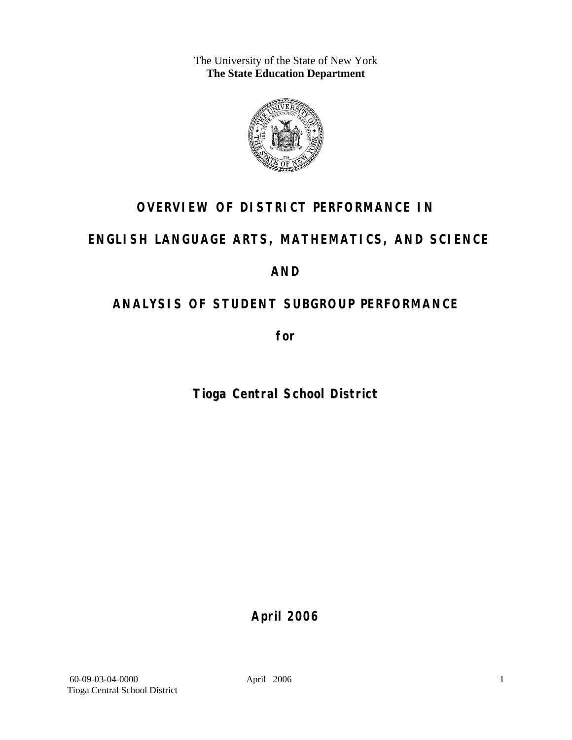The University of the State of New York **The State Education Department** 



# **OVERVIEW OF DISTRICT PERFORMANCE IN**

## **ENGLISH LANGUAGE ARTS, MATHEMATICS, AND SCIENCE**

## **AND**

# **ANALYSIS OF STUDENT SUBGROUP PERFORMANCE**

**for** 

**Tioga Central School District**

**April 2006**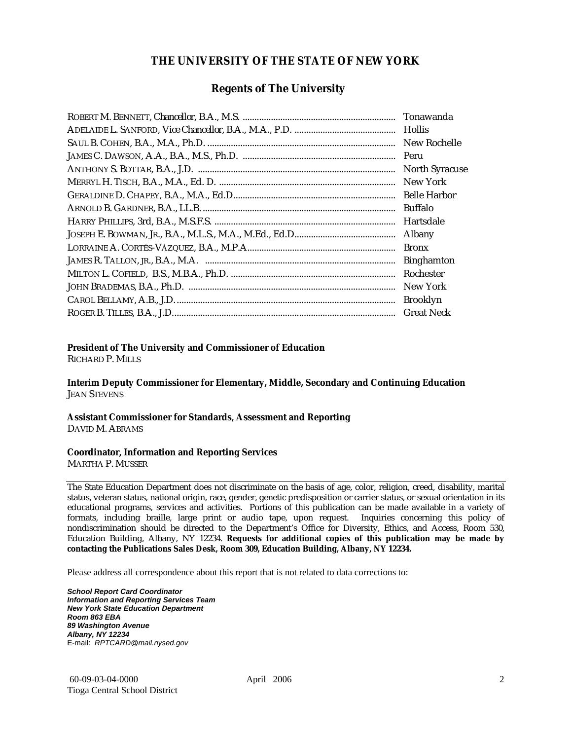#### **THE UNIVERSITY OF THE STATE OF NEW YORK**

#### **Regents of The University**

| Hollis                |
|-----------------------|
| New Rochelle          |
|                       |
| <b>North Syracuse</b> |
| New York              |
|                       |
| Buffalo               |
| Hartsdale             |
| Albany                |
| <b>Bronx</b>          |
| <b>Binghamton</b>     |
| Rochester             |
| New York              |
| <b>Brooklyn</b>       |
| <b>Great Neck</b>     |

#### **President of The University and Commissioner of Education**

RICHARD P. MILLS

**Interim Deputy Commissioner for Elementary, Middle, Secondary and Continuing Education**  JEAN STEVENS

#### **Assistant Commissioner for Standards, Assessment and Reporting**  DAVID M. ABRAMS

#### **Coordinator, Information and Reporting Services**

MARTHA P. MUSSER

The State Education Department does not discriminate on the basis of age, color, religion, creed, disability, marital status, veteran status, national origin, race, gender, genetic predisposition or carrier status, or sexual orientation in its educational programs, services and activities. Portions of this publication can be made available in a variety of formats, including braille, large print or audio tape, upon request. Inquiries concerning this policy of nondiscrimination should be directed to the Department's Office for Diversity, Ethics, and Access, Room 530, Education Building, Albany, NY 12234. **Requests for additional copies of this publication may be made by contacting the Publications Sales Desk, Room 309, Education Building, Albany, NY 12234.** 

Please address all correspondence about this report that is not related to data corrections to:

*School Report Card Coordinator Information and Reporting Services Team New York State Education Department Room 863 EBA 89 Washington Avenue Albany, NY 12234*  E-mail: *RPTCARD@mail.nysed.gov*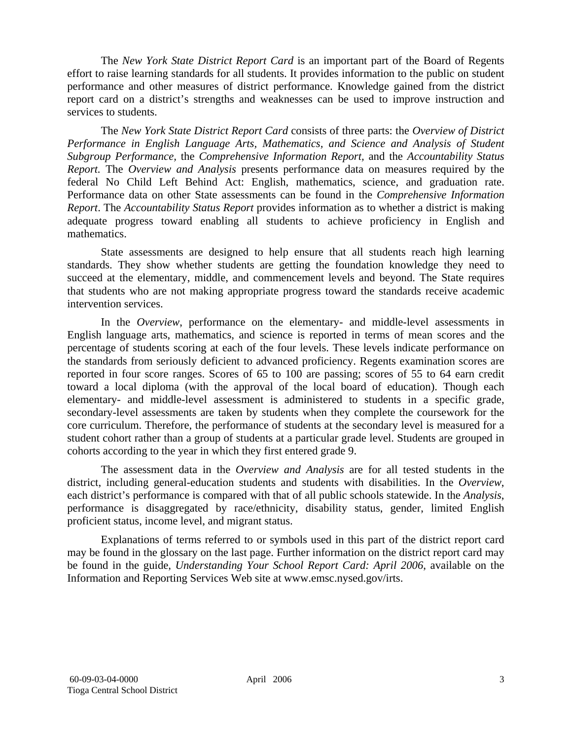The *New York State District Report Card* is an important part of the Board of Regents effort to raise learning standards for all students. It provides information to the public on student performance and other measures of district performance. Knowledge gained from the district report card on a district's strengths and weaknesses can be used to improve instruction and services to students.

The *New York State District Report Card* consists of three parts: the *Overview of District Performance in English Language Arts, Mathematics, and Science and Analysis of Student Subgroup Performance,* the *Comprehensive Information Report,* and the *Accountability Status Report.* The *Overview and Analysis* presents performance data on measures required by the federal No Child Left Behind Act: English, mathematics, science, and graduation rate. Performance data on other State assessments can be found in the *Comprehensive Information Report*. The *Accountability Status Report* provides information as to whether a district is making adequate progress toward enabling all students to achieve proficiency in English and mathematics.

State assessments are designed to help ensure that all students reach high learning standards. They show whether students are getting the foundation knowledge they need to succeed at the elementary, middle, and commencement levels and beyond. The State requires that students who are not making appropriate progress toward the standards receive academic intervention services.

In the *Overview*, performance on the elementary- and middle-level assessments in English language arts, mathematics, and science is reported in terms of mean scores and the percentage of students scoring at each of the four levels. These levels indicate performance on the standards from seriously deficient to advanced proficiency. Regents examination scores are reported in four score ranges. Scores of 65 to 100 are passing; scores of 55 to 64 earn credit toward a local diploma (with the approval of the local board of education). Though each elementary- and middle-level assessment is administered to students in a specific grade, secondary-level assessments are taken by students when they complete the coursework for the core curriculum. Therefore, the performance of students at the secondary level is measured for a student cohort rather than a group of students at a particular grade level. Students are grouped in cohorts according to the year in which they first entered grade 9.

The assessment data in the *Overview and Analysis* are for all tested students in the district, including general-education students and students with disabilities. In the *Overview*, each district's performance is compared with that of all public schools statewide. In the *Analysis*, performance is disaggregated by race/ethnicity, disability status, gender, limited English proficient status, income level, and migrant status.

Explanations of terms referred to or symbols used in this part of the district report card may be found in the glossary on the last page. Further information on the district report card may be found in the guide, *Understanding Your School Report Card: April 2006*, available on the Information and Reporting Services Web site at www.emsc.nysed.gov/irts.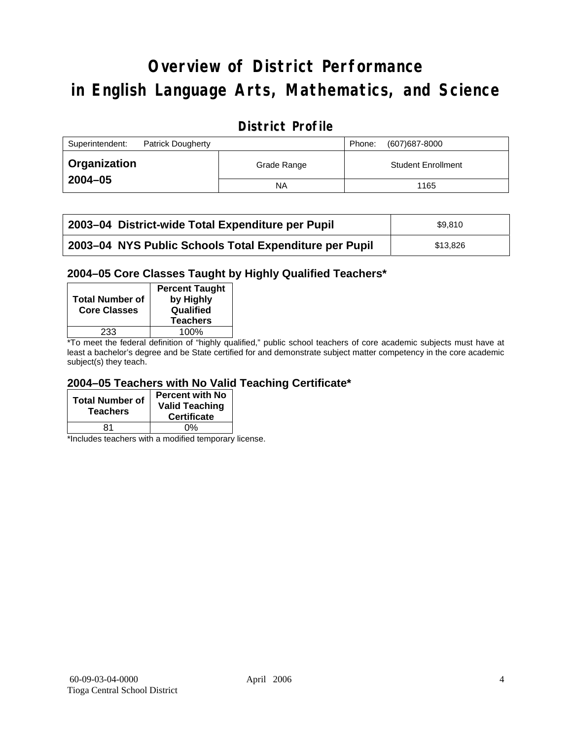# **Overview of District Performance in English Language Arts, Mathematics, and Science**

## **District Profile**

| Superintendent:<br><b>Patrick Dougherty</b> |             | (607) 687-8000<br>Phone:  |
|---------------------------------------------|-------------|---------------------------|
| <b>Organization</b>                         | Grade Range | <b>Student Enrollment</b> |
| $2004 - 05$                                 | ΝA          | 1165                      |

| 2003-04 District-wide Total Expenditure per Pupil      | \$9.810  |
|--------------------------------------------------------|----------|
| 2003-04 NYS Public Schools Total Expenditure per Pupil | \$13,826 |

#### **2004–05 Core Classes Taught by Highly Qualified Teachers\***

| <b>Total Number of</b><br><b>Core Classes</b> | <b>Percent Taught</b><br>by Highly<br>Qualified<br><b>Teachers</b> |
|-----------------------------------------------|--------------------------------------------------------------------|
| 233                                           | 100%                                                               |
| $\cdot$ $\cdot$ $\cdot$                       | $\cdots$                                                           |

\*To meet the federal definition of "highly qualified," public school teachers of core academic subjects must have at least a bachelor's degree and be State certified for and demonstrate subject matter competency in the core academic subject(s) they teach.

#### **2004–05 Teachers with No Valid Teaching Certificate\***

| <b>Total Number of</b><br><b>Teachers</b> | <b>Percent with No</b><br><b>Valid Teaching</b><br><b>Certificate</b> |
|-------------------------------------------|-----------------------------------------------------------------------|
| 81                                        | ሰ%                                                                    |

\*Includes teachers with a modified temporary license.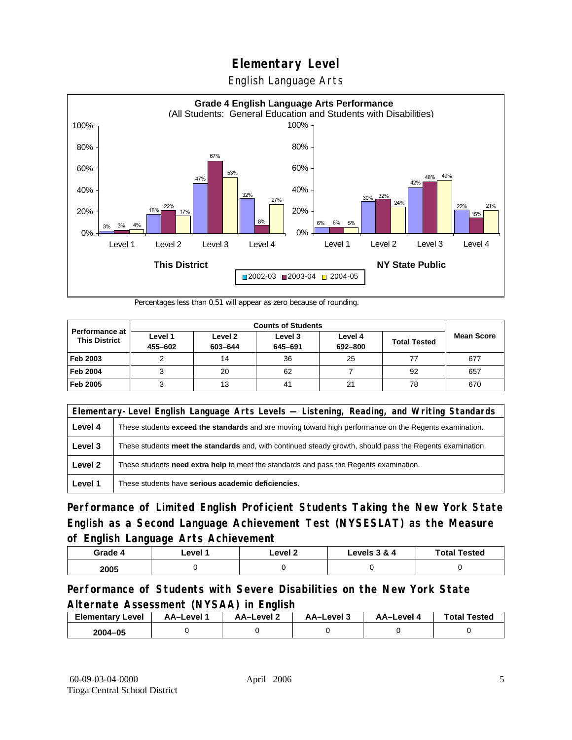English Language Arts



Percentages less than 0.51 will appear as zero because of rounding.

|                                               | <b>Counts of Students</b> |                    |                    |                    |                     |                   |
|-----------------------------------------------|---------------------------|--------------------|--------------------|--------------------|---------------------|-------------------|
| <b>Performance at</b><br><b>This District</b> | Level 1<br>455-602        | Level 2<br>603-644 | Level 3<br>645-691 | Level 4<br>692-800 | <b>Total Tested</b> | <b>Mean Score</b> |
| Feb 2003                                      |                           | 14                 | 36                 | 25                 |                     | 677               |
| <b>Feb 2004</b>                               |                           | 20                 | 62                 |                    | 92                  | 657               |
| Feb 2005                                      |                           | 13                 | 41                 | 21                 | 78                  | 670               |

|         | Elementary-Level English Language Arts Levels — Listening, Reading, and Writing Standards                     |  |  |  |  |
|---------|---------------------------------------------------------------------------------------------------------------|--|--|--|--|
| Level 4 | These students <b>exceed the standards</b> and are moving toward high performance on the Regents examination. |  |  |  |  |
| Level 3 | These students meet the standards and, with continued steady growth, should pass the Regents examination.     |  |  |  |  |
| Level 2 | These students need extra help to meet the standards and pass the Regents examination.                        |  |  |  |  |
| Level 1 | These students have serious academic deficiencies.                                                            |  |  |  |  |

**Performance of Limited English Proficient Students Taking the New York State English as a Second Language Achievement Test (NYSESLAT) as the Measure of English Language Arts Achievement**

| Grade 4 | ∟evel ′ | Level 2 | Levels 3 & 4 | <b>Total Tested</b> |
|---------|---------|---------|--------------|---------------------|
| 2005    |         |         |              |                     |

### **Performance of Students with Severe Disabilities on the New York State Alternate Assessment (NYSAA) in English**

| <b>Elementary Level</b> | AA-Level | <b>AA-Level 2</b> | AA-Level 3 | AA–Level | <b>Total Tested</b> |
|-------------------------|----------|-------------------|------------|----------|---------------------|
| 2004-05                 |          |                   |            |          |                     |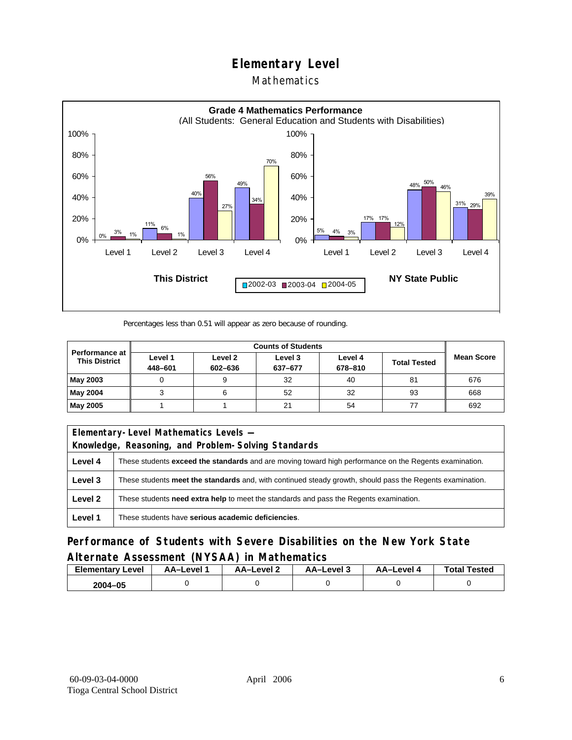#### Mathematics



Percentages less than 0.51 will appear as zero because of rounding.

|                                               | <b>Counts of Students</b> |                    |                    |                    |                     |                   |
|-----------------------------------------------|---------------------------|--------------------|--------------------|--------------------|---------------------|-------------------|
| <b>Performance at</b><br><b>This District</b> | Level 1<br>448-601        | Level 2<br>602-636 | Level 3<br>637-677 | Level 4<br>678-810 | <b>Total Tested</b> | <b>Mean Score</b> |
| May 2003                                      |                           |                    | 32                 | 40                 | 81                  | 676               |
| May 2004                                      |                           |                    | 52                 | 32                 | 93                  | 668               |
| May 2005                                      |                           |                    | 21                 | 54                 |                     | 692               |

| Elementary-Level Mathematics Levels - |                                                                                                               |  |  |  |  |
|---------------------------------------|---------------------------------------------------------------------------------------------------------------|--|--|--|--|
|                                       | Knowledge, Reasoning, and Problem-Solving Standards                                                           |  |  |  |  |
| Level 4                               | These students <b>exceed the standards</b> and are moving toward high performance on the Regents examination. |  |  |  |  |
| Level 3                               | These students meet the standards and, with continued steady growth, should pass the Regents examination.     |  |  |  |  |
| Level 2                               | These students <b>need extra help</b> to meet the standards and pass the Regents examination.                 |  |  |  |  |
| Level 1                               | These students have serious academic deficiencies.                                                            |  |  |  |  |

**Performance of Students with Severe Disabilities on the New York State Alternate Assessment (NYSAA) in Mathematics** 

| Level<br>Elementary | AA-Level | – AA–Level ∠ | د AA–Level | AA-Level 4 | <b>Total Tested</b> |
|---------------------|----------|--------------|------------|------------|---------------------|
| 2004-05             |          |              |            |            |                     |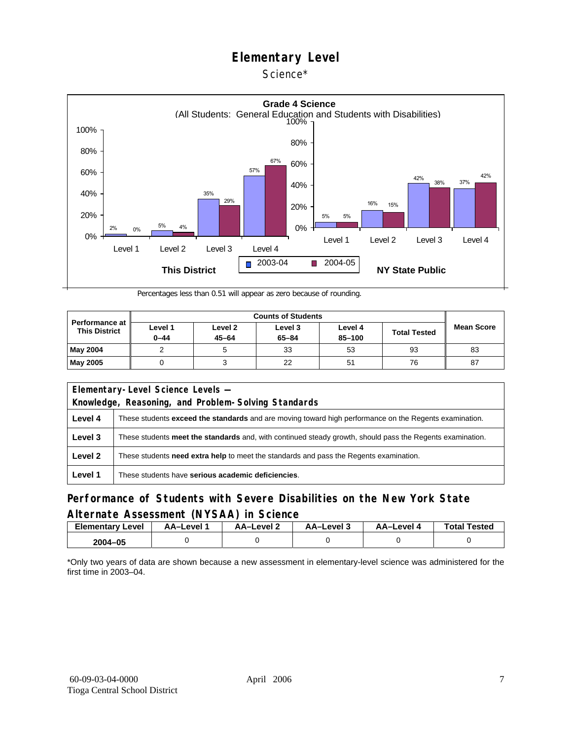#### Science\*



Percentages less than 0.51 will appear as zero because of rounding.

| <b>Performance at</b><br><b>This District</b> | Level 1<br>$0 - 44$ | Level 2<br>$45 - 64$ | Level 3<br>$65 - 84$ | Level 4<br>85-100 | <b>Total Tested</b> | <b>Mean Score</b> |
|-----------------------------------------------|---------------------|----------------------|----------------------|-------------------|---------------------|-------------------|
| May 2004                                      |                     |                      | 33                   | 53                | 93                  | 83                |
| <b>May 2005</b>                               |                     |                      | 22                   | 51                | 76                  | 87                |

| Elementary-Level Science Levels -                   |                                                                                                               |  |  |  |
|-----------------------------------------------------|---------------------------------------------------------------------------------------------------------------|--|--|--|
| Knowledge, Reasoning, and Problem-Solving Standards |                                                                                                               |  |  |  |
| Level 4                                             | These students <b>exceed the standards</b> and are moving toward high performance on the Regents examination. |  |  |  |
| Level 3                                             | These students meet the standards and, with continued steady growth, should pass the Regents examination.     |  |  |  |
| Level 2                                             | These students <b>need extra help</b> to meet the standards and pass the Regents examination.                 |  |  |  |
| Level 1                                             | These students have serious academic deficiencies.                                                            |  |  |  |

### **Performance of Students with Severe Disabilities on the New York State Alternate Assessment (NYSAA) in Science**

| <b>Elementary Level</b> | AA-Level <sup>*</sup> | AA-Level 2 | د AA–Level | AA–Level 4 | <b>Total Tested</b> |
|-------------------------|-----------------------|------------|------------|------------|---------------------|
| 2004-05                 |                       |            |            |            |                     |

\*Only two years of data are shown because a new assessment in elementary-level science was administered for the first time in 2003–04.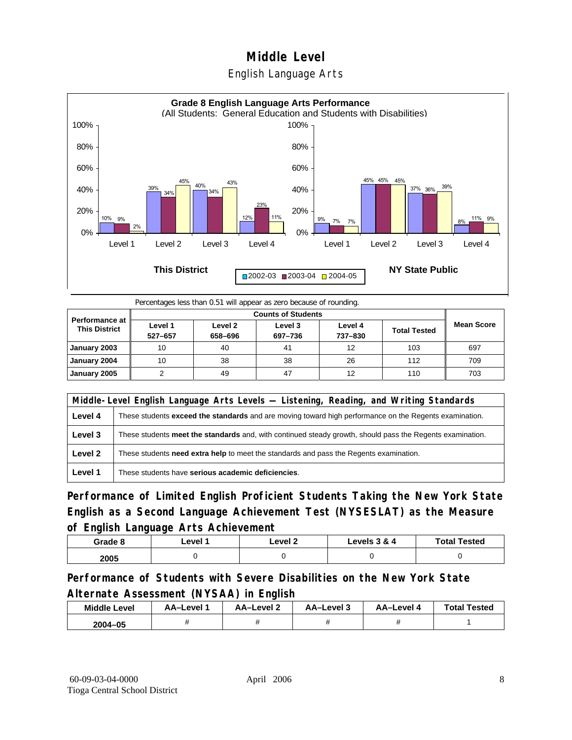## **Middle Level**  English Language Arts



Percentages less than 0.51 will appear as zero because of rounding.

| <b>Performance at</b><br><b>This District</b> | Level 1<br>527-657 | Level 2<br>658-696 | Level 3<br>697-736 | Level 4<br>737-830 | <b>Total Tested</b> | <b>Mean Score</b> |
|-----------------------------------------------|--------------------|--------------------|--------------------|--------------------|---------------------|-------------------|
| January 2003                                  | 10                 | 40                 | 41                 | 12                 | 103                 | 697               |
| January 2004                                  | 10                 | 38                 | 38                 | 26                 | 112                 | 709               |
| January 2005                                  |                    | 49                 | 47                 | 12                 | 110                 | 703               |

|         | Middle-Level English Language Arts Levels — Listening, Reading, and Writing Standards                         |  |  |  |  |
|---------|---------------------------------------------------------------------------------------------------------------|--|--|--|--|
| Level 4 | These students <b>exceed the standards</b> and are moving toward high performance on the Regents examination. |  |  |  |  |
| Level 3 | These students meet the standards and, with continued steady growth, should pass the Regents examination.     |  |  |  |  |
| Level 2 | These students <b>need extra help</b> to meet the standards and pass the Regents examination.                 |  |  |  |  |
| Level 1 | These students have serious academic deficiencies.                                                            |  |  |  |  |

**Performance of Limited English Proficient Students Taking the New York State English as a Second Language Achievement Test (NYSESLAT) as the Measure of English Language Arts Achievement**

| Grade 8 | ∟evel 1 | ∟evel 2 | Levels 3 & 4 | <b>Total Tested</b> |
|---------|---------|---------|--------------|---------------------|
| 2005    |         |         |              |                     |

**Performance of Students with Severe Disabilities on the New York State Alternate Assessment (NYSAA) in English** 

| <b>Middle Level</b> | AA-Level | AA-Level 2 | AA-Level 3 | AA-Level 4 | <b>Total Tested</b> |
|---------------------|----------|------------|------------|------------|---------------------|
| 2004-05             |          |            |            |            |                     |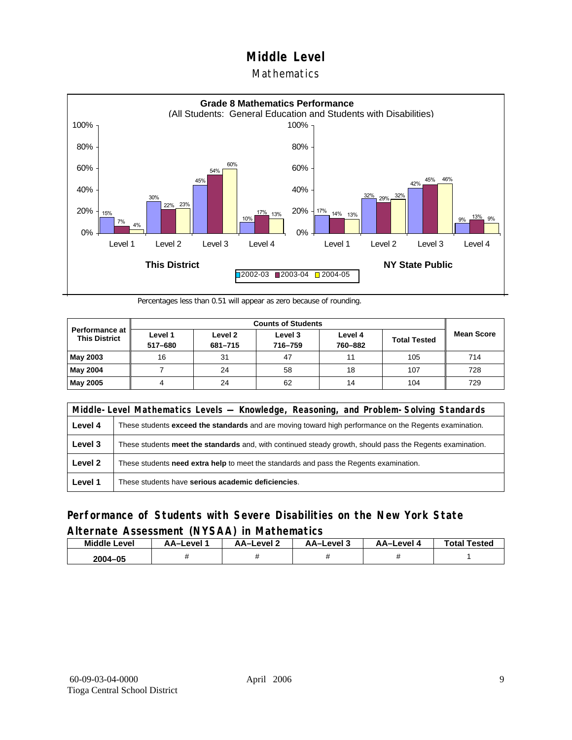#### Mathematics



Percentages less than 0.51 will appear as zero because of rounding.

|                                          |                    | <b>Counts of Students</b> |                    |                    |                     |                   |  |  |  |
|------------------------------------------|--------------------|---------------------------|--------------------|--------------------|---------------------|-------------------|--|--|--|
| Performance at I<br><b>This District</b> | Level 1<br>517-680 | Level 2<br>681-715        | Level 3<br>716-759 | Level 4<br>760-882 | <b>Total Tested</b> | <b>Mean Score</b> |  |  |  |
| May 2003                                 | 16                 | 31                        | 47                 | 11                 | 105                 | 714               |  |  |  |
| May 2004                                 |                    | 24                        | 58                 | 18                 | 107                 | 728               |  |  |  |
| May 2005                                 |                    | 24                        | 62                 | 14                 | 104                 | 729               |  |  |  |

|         | Middle-Level Mathematics Levels — Knowledge, Reasoning, and Problem-Solving Standards                         |  |  |  |  |
|---------|---------------------------------------------------------------------------------------------------------------|--|--|--|--|
| Level 4 | These students <b>exceed the standards</b> and are moving toward high performance on the Regents examination. |  |  |  |  |
| Level 3 | These students meet the standards and, with continued steady growth, should pass the Regents examination.     |  |  |  |  |
| Level 2 | These students need extra help to meet the standards and pass the Regents examination.                        |  |  |  |  |
| Level 1 | These students have serious academic deficiencies.                                                            |  |  |  |  |

### **Performance of Students with Severe Disabilities on the New York State Alternate Assessment (NYSAA) in Mathematics**

| <b>Middle Level</b> | AA-Level | AA-Level 2 | AA-Level 3 | AA–Level 4 | <b>Total Tested</b> |
|---------------------|----------|------------|------------|------------|---------------------|
| 2004-05             |          |            |            |            |                     |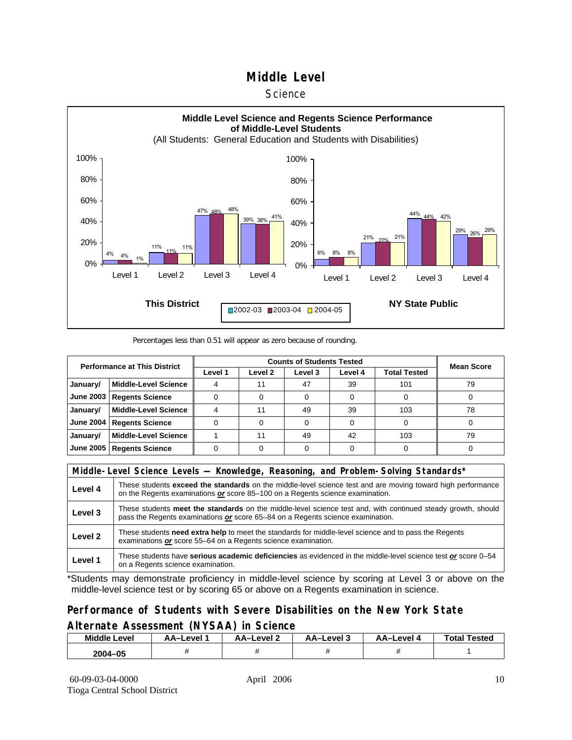#### **Science**



#### Percentages less than 0.51 will appear as zero because of rounding.

| <b>Performance at This District</b> |                             |         | <b>Mean Score</b>  |         |         |              |    |
|-------------------------------------|-----------------------------|---------|--------------------|---------|---------|--------------|----|
|                                     |                             | Level 1 | Level <sub>2</sub> | Level 3 | Level 4 | Total Tested |    |
| January/                            | <b>Middle-Level Science</b> |         |                    | 47      | 39      | 101          | 79 |
| <b>June 2003</b>                    | <b>Regents Science</b>      |         |                    |         |         |              |    |
| January/                            | <b>Middle-Level Science</b> |         | 11                 | 49      | 39      | 103          | 78 |
| <b>June 2004</b>                    | <b>Regents Science</b>      |         |                    |         |         |              |    |
| January/                            | <b>Middle-Level Science</b> |         | 11                 | 49      | 42      | 103          | 79 |
| <b>June 2005</b>                    | <b>Regents Science</b>      |         |                    |         |         |              |    |

|         | Middle-Level Science Levels — Knowledge, Reasoning, and Problem-Solving Standards*                                                                                                                  |  |  |  |  |
|---------|-----------------------------------------------------------------------------------------------------------------------------------------------------------------------------------------------------|--|--|--|--|
| Level 4 | These students <b>exceed the standards</b> on the middle-level science test and are moving toward high performance<br>on the Regents examinations or score 85-100 on a Regents science examination. |  |  |  |  |
| Level 3 | These students meet the standards on the middle-level science test and, with continued steady growth, should<br>pass the Regents examinations or score 65–84 on a Regents science examination.      |  |  |  |  |
| Level 2 | These students need extra help to meet the standards for middle-level science and to pass the Regents<br>examinations or score 55–64 on a Regents science examination.                              |  |  |  |  |
| Level 1 | These students have serious academic deficiencies as evidenced in the middle-level science test or score 0-54<br>on a Regents science examination.                                                  |  |  |  |  |

\*Students may demonstrate proficiency in middle-level science by scoring at Level 3 or above on the middle-level science test or by scoring 65 or above on a Regents examination in science.

#### **Performance of Students with Severe Disabilities on the New York State Alternate Assessment (NYSAA) in Science**

| <b>Middle Level</b> | AA–Level | AA–Level ∠ | AA-Level 3 | AA-Level 4 | <b>Total Tested</b> |
|---------------------|----------|------------|------------|------------|---------------------|
| 2004–05             |          |            |            |            |                     |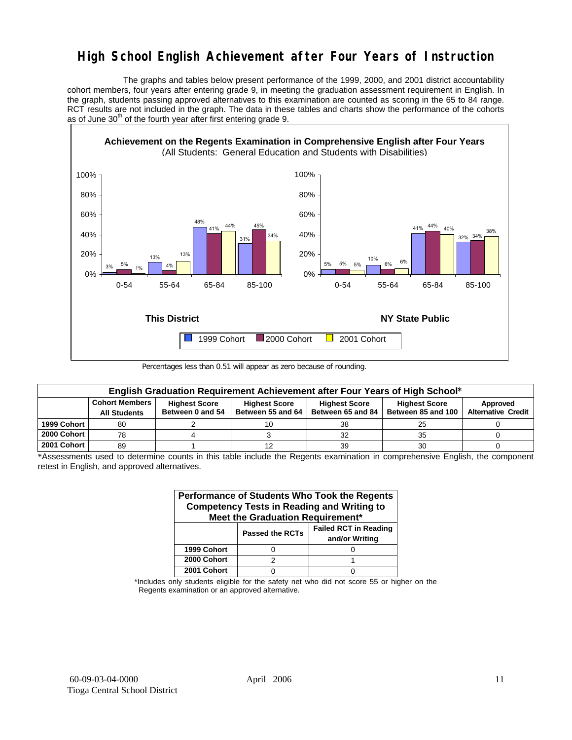## **High School English Achievement after Four Years of Instruction**

 The graphs and tables below present performance of the 1999, 2000, and 2001 district accountability cohort members, four years after entering grade 9, in meeting the graduation assessment requirement in English. In the graph, students passing approved alternatives to this examination are counted as scoring in the 65 to 84 range. RCT results are not included in the graph. The data in these tables and charts show the performance of the cohorts as of June  $30<sup>th</sup>$  of the fourth year after first entering grade 9.



Percentages less than 0.51 will appear as zero because of rounding.

|             | English Graduation Requirement Achievement after Four Years of High School* |                                          |                                           |                                           |                                            |                                       |  |  |  |  |  |  |
|-------------|-----------------------------------------------------------------------------|------------------------------------------|-------------------------------------------|-------------------------------------------|--------------------------------------------|---------------------------------------|--|--|--|--|--|--|
|             | <b>Cohort Members</b><br><b>All Students</b>                                | <b>Highest Score</b><br>Between 0 and 54 | <b>Highest Score</b><br>Between 55 and 64 | <b>Highest Score</b><br>Between 65 and 84 | <b>Highest Score</b><br>Between 85 and 100 | Approved<br><b>Alternative Credit</b> |  |  |  |  |  |  |
| 1999 Cohort | 80                                                                          |                                          |                                           | 38                                        | 25                                         |                                       |  |  |  |  |  |  |
| 2000 Cohort | 78                                                                          |                                          |                                           | 32                                        | 35                                         |                                       |  |  |  |  |  |  |
| 2001 Cohort | 89                                                                          |                                          |                                           | 39                                        | 30                                         |                                       |  |  |  |  |  |  |

\*Assessments used to determine counts in this table include the Regents examination in comprehensive English, the component retest in English, and approved alternatives.

| Performance of Students Who Took the Regents<br><b>Competency Tests in Reading and Writing to</b><br>Meet the Graduation Requirement* |                        |                                                |  |  |  |  |  |  |  |
|---------------------------------------------------------------------------------------------------------------------------------------|------------------------|------------------------------------------------|--|--|--|--|--|--|--|
|                                                                                                                                       | <b>Passed the RCTs</b> | <b>Failed RCT in Reading</b><br>and/or Writing |  |  |  |  |  |  |  |
| 1999 Cohort                                                                                                                           |                        |                                                |  |  |  |  |  |  |  |
| 2000 Cohort                                                                                                                           | 2                      |                                                |  |  |  |  |  |  |  |
| 2001 Cohort                                                                                                                           |                        |                                                |  |  |  |  |  |  |  |

\*Includes only students eligible for the safety net who did not score 55 or higher on the Regents examination or an approved alternative.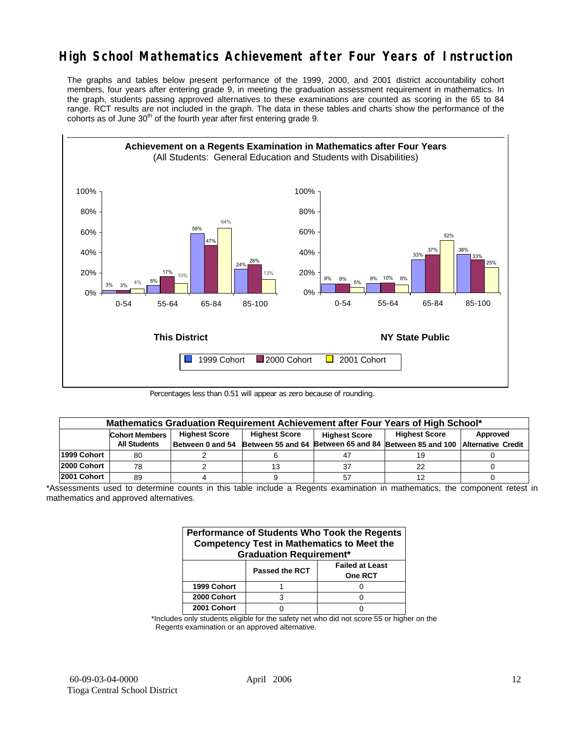## **High School Mathematics Achievement after Four Years of Instruction**

The graphs and tables below present performance of the 1999, 2000, and 2001 district accountability cohort members, four years after entering grade 9, in meeting the graduation assessment requirement in mathematics. In the graph, students passing approved alternatives to these examinations are counted as scoring in the 65 to 84 range. RCT results are not included in the graph. The data in these tables and charts show the performance of the cohorts as of June  $30<sup>th</sup>$  of the fourth year after first entering grade 9.



Percentages less than 0.51 will appear as zero because of rounding.

|             | Mathematics Graduation Requirement Achievement after Four Years of High School* |                      |                      |                      |                                                                                            |          |  |  |  |  |  |
|-------------|---------------------------------------------------------------------------------|----------------------|----------------------|----------------------|--------------------------------------------------------------------------------------------|----------|--|--|--|--|--|
|             | <b>Cohort Members</b>                                                           | <b>Highest Score</b> | <b>Highest Score</b> | <b>Highest Score</b> | <b>Highest Score</b>                                                                       | Approved |  |  |  |  |  |
|             | <b>All Students</b>                                                             |                      |                      |                      | Between 0 and 54 Between 55 and 64 Between 65 and 84 Between 85 and 100 Alternative Credit |          |  |  |  |  |  |
| 1999 Cohort | 80                                                                              |                      |                      | 47                   | 19                                                                                         |          |  |  |  |  |  |
| 2000 Cohort | 78                                                                              |                      |                      | 37                   | 22                                                                                         |          |  |  |  |  |  |
| 2001 Cohort | 89                                                                              |                      |                      | 57                   |                                                                                            |          |  |  |  |  |  |

<sup>\*</sup>Assessments used to determine counts in this table include a Regents examination in mathematics, the component retest in mathematics and approved alternatives.

| Performance of Students Who Took the Regents<br><b>Competency Test in Mathematics to Meet the</b><br><b>Graduation Requirement*</b> |                |                                          |  |  |  |  |  |  |
|-------------------------------------------------------------------------------------------------------------------------------------|----------------|------------------------------------------|--|--|--|--|--|--|
|                                                                                                                                     | Passed the RCT | <b>Failed at Least</b><br><b>One RCT</b> |  |  |  |  |  |  |
| 1999 Cohort                                                                                                                         |                |                                          |  |  |  |  |  |  |
| 2000 Cohort                                                                                                                         |                |                                          |  |  |  |  |  |  |
| 2001 Cohort                                                                                                                         |                |                                          |  |  |  |  |  |  |

\*Includes only students eligible for the safety net who did not score 55 or higher on the Regents examination or an approved alternative.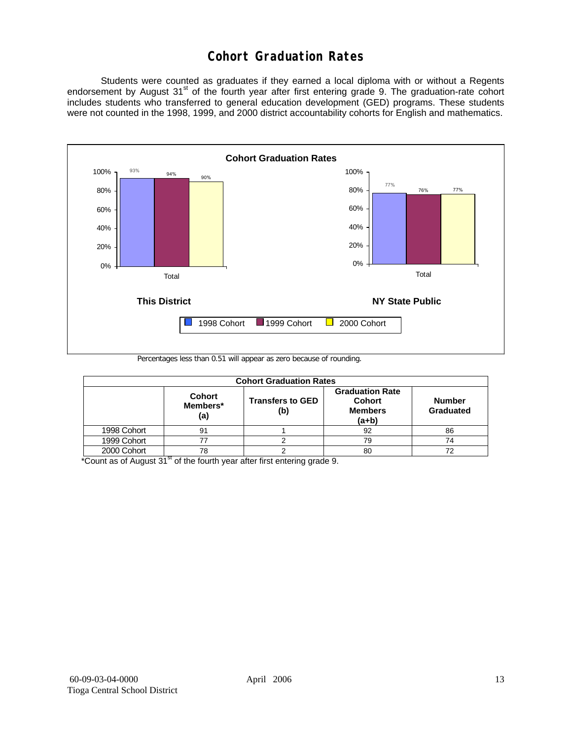## **Cohort Graduation Rates**

 Students were counted as graduates if they earned a local diploma with or without a Regents endorsement by August 31<sup>st</sup> of the fourth year after first entering grade 9. The graduation-rate cohort includes students who transferred to general education development (GED) programs. These students were not counted in the 1998, 1999, and 2000 district accountability cohorts for English and mathematics.



Percentages less than 0.51 will appear as zero because of rounding.

| <b>Cohort Graduation Rates</b> |                                  |                                |                                                                      |                            |  |  |  |  |  |  |
|--------------------------------|----------------------------------|--------------------------------|----------------------------------------------------------------------|----------------------------|--|--|--|--|--|--|
|                                | <b>Cohort</b><br>Members*<br>(a) | <b>Transfers to GED</b><br>(b) | <b>Graduation Rate</b><br><b>Cohort</b><br><b>Members</b><br>$(a+b)$ | <b>Number</b><br>Graduated |  |  |  |  |  |  |
| 1998 Cohort                    | 91                               |                                | 92                                                                   | 86                         |  |  |  |  |  |  |
| 1999 Cohort                    | 77                               |                                | 79                                                                   | 74                         |  |  |  |  |  |  |
| 2000 Cohort                    | 78                               |                                | 80                                                                   |                            |  |  |  |  |  |  |

 $*$ Count as of August 31 $*$  of the fourth year after first entering grade 9.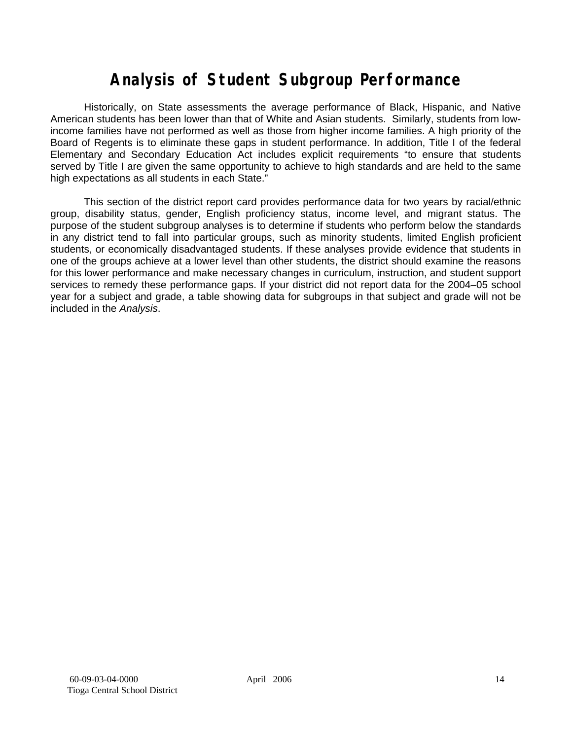# **Analysis of Student Subgroup Performance**

Historically, on State assessments the average performance of Black, Hispanic, and Native American students has been lower than that of White and Asian students. Similarly, students from lowincome families have not performed as well as those from higher income families. A high priority of the Board of Regents is to eliminate these gaps in student performance. In addition, Title I of the federal Elementary and Secondary Education Act includes explicit requirements "to ensure that students served by Title I are given the same opportunity to achieve to high standards and are held to the same high expectations as all students in each State."

This section of the district report card provides performance data for two years by racial/ethnic group, disability status, gender, English proficiency status, income level, and migrant status. The purpose of the student subgroup analyses is to determine if students who perform below the standards in any district tend to fall into particular groups, such as minority students, limited English proficient students, or economically disadvantaged students. If these analyses provide evidence that students in one of the groups achieve at a lower level than other students, the district should examine the reasons for this lower performance and make necessary changes in curriculum, instruction, and student support services to remedy these performance gaps. If your district did not report data for the 2004–05 school year for a subject and grade, a table showing data for subgroups in that subject and grade will not be included in the *Analysis*.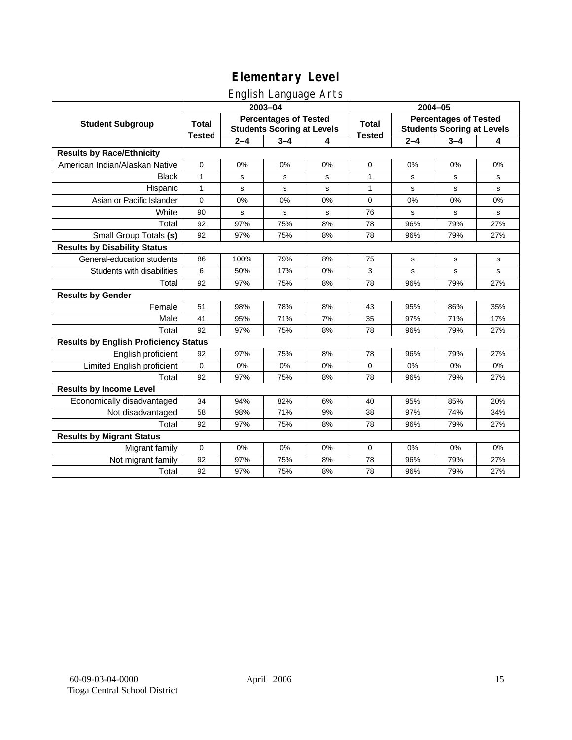## English Language Arts

|                                              |               |             | ັ<br>2003-04                                                      |    | 2004-05       |         |                                                                   |             |  |
|----------------------------------------------|---------------|-------------|-------------------------------------------------------------------|----|---------------|---------|-------------------------------------------------------------------|-------------|--|
| <b>Student Subgroup</b>                      | <b>Total</b>  |             | <b>Percentages of Tested</b><br><b>Students Scoring at Levels</b> |    | <b>Total</b>  |         | <b>Percentages of Tested</b><br><b>Students Scoring at Levels</b> |             |  |
|                                              | <b>Tested</b> | $2 - 4$     | $3 - 4$                                                           | 4  | <b>Tested</b> | $2 - 4$ | $3 - 4$                                                           | 4           |  |
| <b>Results by Race/Ethnicity</b>             |               |             |                                                                   |    |               |         |                                                                   |             |  |
| American Indian/Alaskan Native               | $\pmb{0}$     | 0%          | 0%                                                                | 0% | 0             | 0%      | 0%                                                                | 0%          |  |
| <b>Black</b>                                 | $\mathbf{1}$  | s           | s                                                                 | s  | 1             | s       | s                                                                 | s           |  |
| Hispanic                                     | $\mathbf{1}$  | s           | s                                                                 | s  | $\mathbf{1}$  | s       | s                                                                 | s           |  |
| Asian or Pacific Islander                    | $\mathbf 0$   | 0%          | 0%                                                                | 0% | $\mathbf 0$   | 0%      | 0%                                                                | 0%          |  |
| White                                        | 90            | $\mathbf s$ | s                                                                 | s  | 76            | s       | $\mathbf s$                                                       | s           |  |
| Total                                        | 92            | 97%         | 75%                                                               | 8% | 78            | 96%     | 79%                                                               | 27%         |  |
| Small Group Totals (s)                       | 92            | 97%         | 75%                                                               | 8% | 78            | 96%     | 79%                                                               | 27%         |  |
| <b>Results by Disability Status</b>          |               |             |                                                                   |    |               |         |                                                                   |             |  |
| General-education students                   | 86            | 100%        | 79%                                                               | 8% | 75            | s       | s                                                                 | s           |  |
| Students with disabilities                   | 6             | 50%         | 17%                                                               | 0% | 3             | s       | s                                                                 | $\mathbf s$ |  |
| Total                                        | 92            | 97%         | 75%                                                               | 8% | 78            | 96%     | 79%                                                               | 27%         |  |
| <b>Results by Gender</b>                     |               |             |                                                                   |    |               |         |                                                                   |             |  |
| Female                                       | 51            | 98%         | 78%                                                               | 8% | 43            | 95%     | 86%                                                               | 35%         |  |
| Male                                         | 41            | 95%         | 71%                                                               | 7% | 35            | 97%     | 71%                                                               | 17%         |  |
| Total                                        | 92            | 97%         | 75%                                                               | 8% | 78            | 96%     | 79%                                                               | 27%         |  |
| <b>Results by English Proficiency Status</b> |               |             |                                                                   |    |               |         |                                                                   |             |  |
| English proficient                           | 92            | 97%         | 75%                                                               | 8% | 78            | 96%     | 79%                                                               | 27%         |  |
| Limited English proficient                   | 0             | 0%          | 0%                                                                | 0% | $\mathbf 0$   | 0%      | 0%                                                                | 0%          |  |
| Total                                        | 92            | 97%         | 75%                                                               | 8% | 78            | 96%     | 79%                                                               | 27%         |  |
| <b>Results by Income Level</b>               |               |             |                                                                   |    |               |         |                                                                   |             |  |
| Economically disadvantaged                   | 34            | 94%         | 82%                                                               | 6% | 40            | 95%     | 85%                                                               | 20%         |  |
| Not disadvantaged                            | 58            | 98%         | 71%                                                               | 9% | 38            | 97%     | 74%                                                               | 34%         |  |
| Total                                        | 92            | 97%         | 75%                                                               | 8% | 78            | 96%     | 79%                                                               | 27%         |  |
| <b>Results by Migrant Status</b>             |               |             |                                                                   |    |               |         |                                                                   |             |  |
| Migrant family                               | $\mathbf 0$   | 0%          | 0%                                                                | 0% | 0             | 0%      | 0%                                                                | 0%          |  |
| Not migrant family                           | 92            | 97%         | 75%                                                               | 8% | 78            | 96%     | 79%                                                               | 27%         |  |
| Total                                        | 92            | 97%         | 75%                                                               | 8% | 78            | 96%     | 79%                                                               | 27%         |  |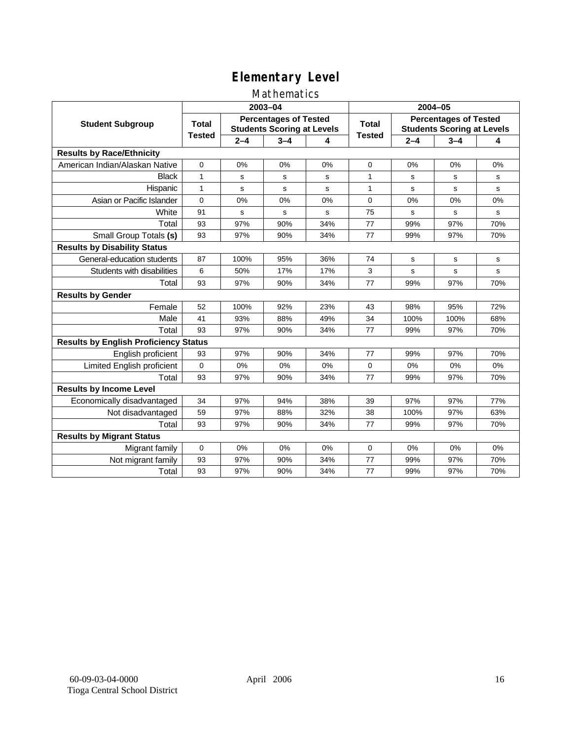### Mathematics

|                                              |               |         | 2003-04                                                           |     | 2004-05       |         |                                                                   |             |
|----------------------------------------------|---------------|---------|-------------------------------------------------------------------|-----|---------------|---------|-------------------------------------------------------------------|-------------|
| <b>Student Subgroup</b>                      | <b>Total</b>  |         | <b>Percentages of Tested</b><br><b>Students Scoring at Levels</b> |     | Total         |         | <b>Percentages of Tested</b><br><b>Students Scoring at Levels</b> |             |
|                                              | <b>Tested</b> | $2 - 4$ | $3 - 4$                                                           | 4   | <b>Tested</b> | $2 - 4$ | $3 - 4$                                                           | 4           |
| <b>Results by Race/Ethnicity</b>             |               |         |                                                                   |     |               |         |                                                                   |             |
| American Indian/Alaskan Native               | $\mathbf 0$   | 0%      | 0%                                                                | 0%  | $\mathbf 0$   | 0%      | 0%                                                                | 0%          |
| <b>Black</b>                                 | 1             | s       | s                                                                 | s   | 1             | s       | s                                                                 | s           |
| Hispanic                                     | $\mathbf{1}$  | s       | s                                                                 | s   | $\mathbf{1}$  | s       | s                                                                 | s           |
| Asian or Pacific Islander                    | $\mathbf 0$   | 0%      | 0%                                                                | 0%  | 0             | 0%      | 0%                                                                | 0%          |
| White                                        | 91            | s       | $\mathbf s$                                                       | s   | 75            | s       | $\mathbf s$                                                       | $\mathbf s$ |
| Total                                        | 93            | 97%     | 90%                                                               | 34% | 77            | 99%     | 97%                                                               | 70%         |
| Small Group Totals (s)                       | 93            | 97%     | 90%                                                               | 34% | 77            | 99%     | 97%                                                               | 70%         |
| <b>Results by Disability Status</b>          |               |         |                                                                   |     |               |         |                                                                   |             |
| General-education students                   | 87            | 100%    | 95%                                                               | 36% | 74            | s       | s                                                                 | s           |
| Students with disabilities                   | 6             | 50%     | 17%                                                               | 17% | 3             | s       | s                                                                 | $\mathbf s$ |
| Total                                        | 93            | 97%     | 90%                                                               | 34% | 77            | 99%     | 97%                                                               | 70%         |
| <b>Results by Gender</b>                     |               |         |                                                                   |     |               |         |                                                                   |             |
| Female                                       | 52            | 100%    | 92%                                                               | 23% | 43            | 98%     | 95%                                                               | 72%         |
| Male                                         | 41            | 93%     | 88%                                                               | 49% | 34            | 100%    | 100%                                                              | 68%         |
| Total                                        | 93            | 97%     | 90%                                                               | 34% | 77            | 99%     | 97%                                                               | 70%         |
| <b>Results by English Proficiency Status</b> |               |         |                                                                   |     |               |         |                                                                   |             |
| English proficient                           | 93            | 97%     | 90%                                                               | 34% | 77            | 99%     | 97%                                                               | 70%         |
| Limited English proficient                   | $\mathbf 0$   | 0%      | 0%                                                                | 0%  | 0             | 0%      | 0%                                                                | 0%          |
| Total                                        | 93            | 97%     | 90%                                                               | 34% | 77            | 99%     | 97%                                                               | 70%         |
| <b>Results by Income Level</b>               |               |         |                                                                   |     |               |         |                                                                   |             |
| Economically disadvantaged                   | 34            | 97%     | 94%                                                               | 38% | 39            | 97%     | 97%                                                               | 77%         |
| Not disadvantaged                            | 59            | 97%     | 88%                                                               | 32% | 38            | 100%    | 97%                                                               | 63%         |
| Total                                        | 93            | 97%     | 90%                                                               | 34% | 77            | 99%     | 97%                                                               | 70%         |
| <b>Results by Migrant Status</b>             |               |         |                                                                   |     |               |         |                                                                   |             |
| Migrant family                               | 0             | 0%      | 0%                                                                | 0%  | 0             | 0%      | 0%                                                                | 0%          |
| Not migrant family                           | 93            | 97%     | 90%                                                               | 34% | 77            | 99%     | 97%                                                               | 70%         |
| Total                                        | 93            | 97%     | 90%                                                               | 34% | 77            | 99%     | 97%                                                               | 70%         |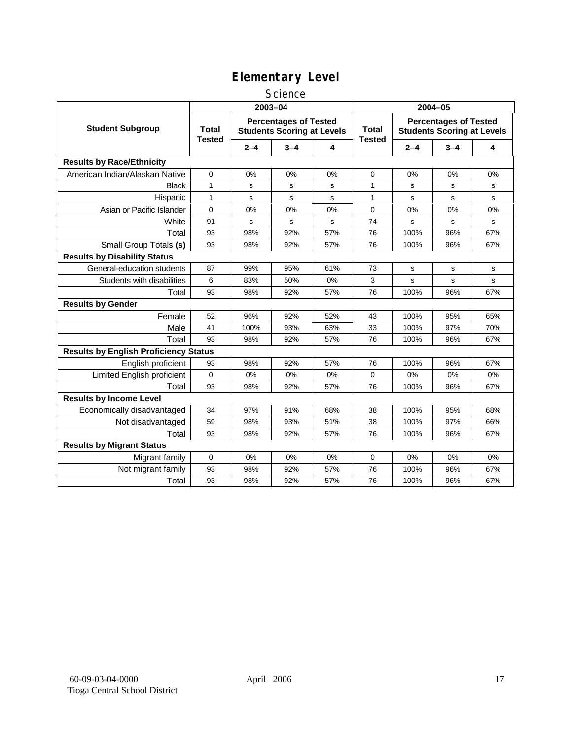#### **Science**

|                                              | 2003-04                       |         |                                                                   |     | 2004-05                       |         |                                                                   |             |
|----------------------------------------------|-------------------------------|---------|-------------------------------------------------------------------|-----|-------------------------------|---------|-------------------------------------------------------------------|-------------|
| <b>Student Subgroup</b>                      | <b>Total</b><br><b>Tested</b> |         | <b>Percentages of Tested</b><br><b>Students Scoring at Levels</b> |     | <b>Total</b><br><b>Tested</b> |         | <b>Percentages of Tested</b><br><b>Students Scoring at Levels</b> |             |
|                                              |                               | $2 - 4$ | $3 - 4$                                                           | 4   |                               | $2 - 4$ | $3 - 4$                                                           | 4           |
| <b>Results by Race/Ethnicity</b>             |                               |         |                                                                   |     |                               |         |                                                                   |             |
| American Indian/Alaskan Native               | 0                             | 0%      | 0%                                                                | 0%  | 0                             | 0%      | 0%                                                                | 0%          |
| <b>Black</b>                                 | $\mathbf{1}$                  | s       | s                                                                 | s   | 1                             | s       | s                                                                 | s           |
| Hispanic                                     | $\mathbf{1}$                  | s       | s                                                                 | s   | $\mathbf{1}$                  | s       | s                                                                 | $\mathbf s$ |
| Asian or Pacific Islander                    | $\Omega$                      | 0%      | 0%                                                                | 0%  | $\mathbf 0$                   | 0%      | 0%                                                                | 0%          |
| White                                        | 91                            | s       | s                                                                 | s   | 74                            | s       | s                                                                 | s           |
| Total                                        | 93                            | 98%     | 92%                                                               | 57% | 76                            | 100%    | 96%                                                               | 67%         |
| Small Group Totals (s)                       | 93                            | 98%     | 92%                                                               | 57% | 76                            | 100%    | 96%                                                               | 67%         |
| <b>Results by Disability Status</b>          |                               |         |                                                                   |     |                               |         |                                                                   |             |
| General-education students                   | 87                            | 99%     | 95%                                                               | 61% | 73                            | s       | s                                                                 | s           |
| Students with disabilities                   | 6                             | 83%     | 50%                                                               | 0%  | 3                             | s       | s                                                                 | s           |
| Total                                        | 93                            | 98%     | 92%                                                               | 57% | 76                            | 100%    | 96%                                                               | 67%         |
| <b>Results by Gender</b>                     |                               |         |                                                                   |     |                               |         |                                                                   |             |
| Female                                       | 52                            | 96%     | 92%                                                               | 52% | 43                            | 100%    | 95%                                                               | 65%         |
| Male                                         | 41                            | 100%    | 93%                                                               | 63% | 33                            | 100%    | 97%                                                               | 70%         |
| Total                                        | 93                            | 98%     | 92%                                                               | 57% | 76                            | 100%    | 96%                                                               | 67%         |
| <b>Results by English Proficiency Status</b> |                               |         |                                                                   |     |                               |         |                                                                   |             |
| English proficient                           | 93                            | 98%     | 92%                                                               | 57% | 76                            | 100%    | 96%                                                               | 67%         |
| Limited English proficient                   | 0                             | 0%      | 0%                                                                | 0%  | 0                             | 0%      | 0%                                                                | 0%          |
| Total                                        | 93                            | 98%     | 92%                                                               | 57% | 76                            | 100%    | 96%                                                               | 67%         |
| <b>Results by Income Level</b>               |                               |         |                                                                   |     |                               |         |                                                                   |             |
| Economically disadvantaged                   | 34                            | 97%     | 91%                                                               | 68% | 38                            | 100%    | 95%                                                               | 68%         |
| Not disadvantaged                            | 59                            | 98%     | 93%                                                               | 51% | 38                            | 100%    | 97%                                                               | 66%         |
| Total                                        | 93                            | 98%     | 92%                                                               | 57% | 76                            | 100%    | 96%                                                               | 67%         |
| <b>Results by Migrant Status</b>             |                               |         |                                                                   |     |                               |         |                                                                   |             |
| Migrant family                               | 0                             | 0%      | 0%                                                                | 0%  | $\mathbf 0$                   | 0%      | 0%                                                                | 0%          |
| Not migrant family                           | 93                            | 98%     | 92%                                                               | 57% | 76                            | 100%    | 96%                                                               | 67%         |
| Total                                        | 93                            | 98%     | 92%                                                               | 57% | 76                            | 100%    | 96%                                                               | 67%         |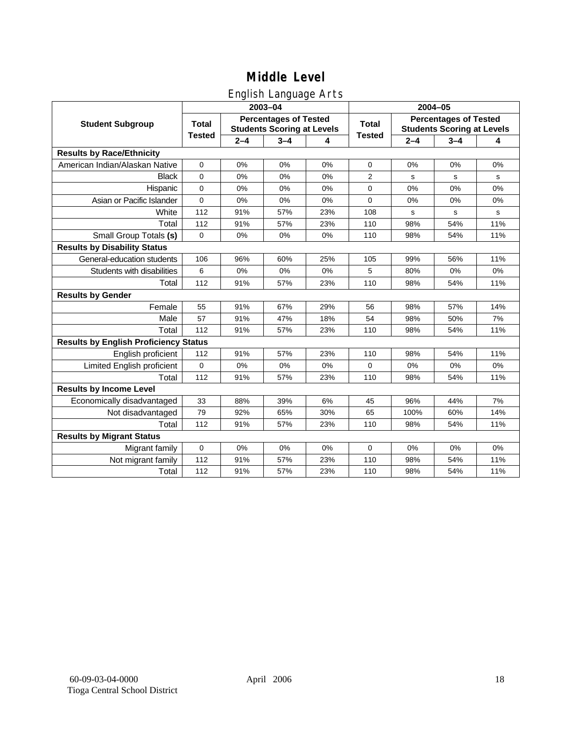## English Language Arts

|                                              |               |         | ັ<br>2003-04                                                      |     | 2004-05        |         |                                                                   |             |
|----------------------------------------------|---------------|---------|-------------------------------------------------------------------|-----|----------------|---------|-------------------------------------------------------------------|-------------|
| <b>Student Subgroup</b>                      | <b>Total</b>  |         | <b>Percentages of Tested</b><br><b>Students Scoring at Levels</b> |     | <b>Total</b>   |         | <b>Percentages of Tested</b><br><b>Students Scoring at Levels</b> |             |
|                                              | <b>Tested</b> | $2 - 4$ | $3 - 4$                                                           | 4   | <b>Tested</b>  | $2 - 4$ | $3 - 4$                                                           | 4           |
| <b>Results by Race/Ethnicity</b>             |               |         |                                                                   |     |                |         |                                                                   |             |
| American Indian/Alaskan Native               | $\mathbf 0$   | 0%      | 0%                                                                | 0%  | $\mathbf 0$    | 0%      | 0%                                                                | 0%          |
| <b>Black</b>                                 | 0             | 0%      | 0%                                                                | 0%  | $\overline{2}$ | s       | s                                                                 | s           |
| Hispanic                                     | $\Omega$      | 0%      | 0%                                                                | 0%  | $\Omega$       | 0%      | 0%                                                                | 0%          |
| Asian or Pacific Islander                    | 0             | 0%      | 0%                                                                | 0%  | 0              | 0%      | 0%                                                                | 0%          |
| White                                        | 112           | 91%     | 57%                                                               | 23% | 108            | s       | s                                                                 | $\mathbf s$ |
| Total                                        | 112           | 91%     | 57%                                                               | 23% | 110            | 98%     | 54%                                                               | 11%         |
| Small Group Totals (s)                       | 0             | 0%      | 0%                                                                | 0%  | 110            | 98%     | 54%                                                               | 11%         |
| <b>Results by Disability Status</b>          |               |         |                                                                   |     |                |         |                                                                   |             |
| General-education students                   | 106           | 96%     | 60%                                                               | 25% | 105            | 99%     | 56%                                                               | 11%         |
| Students with disabilities                   | 6             | 0%      | 0%                                                                | 0%  | 5              | 80%     | 0%                                                                | 0%          |
| Total                                        | 112           | 91%     | 57%                                                               | 23% | 110            | 98%     | 54%                                                               | 11%         |
| <b>Results by Gender</b>                     |               |         |                                                                   |     |                |         |                                                                   |             |
| Female                                       | 55            | 91%     | 67%                                                               | 29% | 56             | 98%     | 57%                                                               | 14%         |
| Male                                         | 57            | 91%     | 47%                                                               | 18% | 54             | 98%     | 50%                                                               | 7%          |
| Total                                        | 112           | 91%     | 57%                                                               | 23% | 110            | 98%     | 54%                                                               | 11%         |
| <b>Results by English Proficiency Status</b> |               |         |                                                                   |     |                |         |                                                                   |             |
| English proficient                           | 112           | 91%     | 57%                                                               | 23% | 110            | 98%     | 54%                                                               | 11%         |
| Limited English proficient                   | 0             | 0%      | 0%                                                                | 0%  | $\mathbf 0$    | 0%      | 0%                                                                | 0%          |
| Total                                        | 112           | 91%     | 57%                                                               | 23% | 110            | 98%     | 54%                                                               | 11%         |
| <b>Results by Income Level</b>               |               |         |                                                                   |     |                |         |                                                                   |             |
| Economically disadvantaged                   | 33            | 88%     | 39%                                                               | 6%  | 45             | 96%     | 44%                                                               | 7%          |
| Not disadvantaged                            | 79            | 92%     | 65%                                                               | 30% | 65             | 100%    | 60%                                                               | 14%         |
| Total                                        | 112           | 91%     | 57%                                                               | 23% | 110            | 98%     | 54%                                                               | 11%         |
| <b>Results by Migrant Status</b>             |               |         |                                                                   |     |                |         |                                                                   |             |
| Migrant family                               | 0             | 0%      | 0%                                                                | 0%  | $\mathbf 0$    | 0%      | 0%                                                                | 0%          |
| Not migrant family                           | 112           | 91%     | 57%                                                               | 23% | 110            | 98%     | 54%                                                               | 11%         |
| Total                                        | 112           | 91%     | 57%                                                               | 23% | 110            | 98%     | 54%                                                               | 11%         |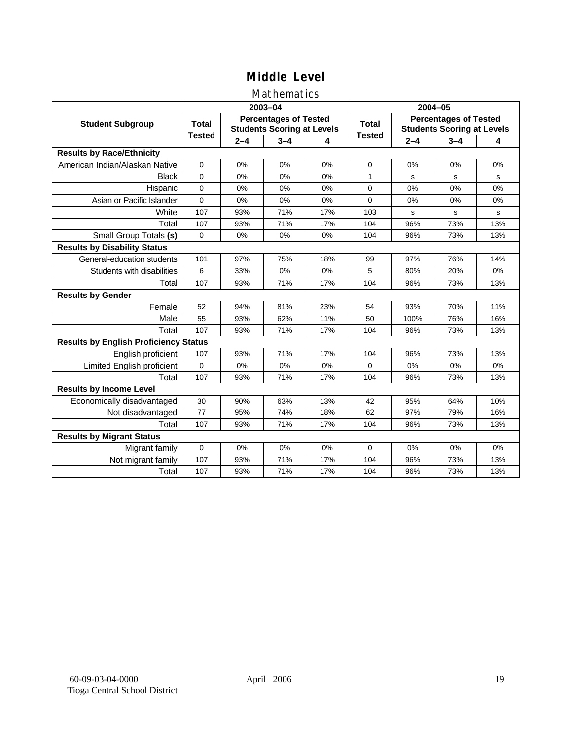### Mathematics

|                                              |               |         | 2003-04                                                           |     | 2004-05       |             |                                                                   |     |  |
|----------------------------------------------|---------------|---------|-------------------------------------------------------------------|-----|---------------|-------------|-------------------------------------------------------------------|-----|--|
| <b>Student Subgroup</b>                      | <b>Total</b>  |         | <b>Percentages of Tested</b><br><b>Students Scoring at Levels</b> |     | Total         |             | <b>Percentages of Tested</b><br><b>Students Scoring at Levels</b> |     |  |
|                                              | <b>Tested</b> | $2 - 4$ | $3 - 4$                                                           | 4   | <b>Tested</b> | $2 - 4$     | $3 - 4$                                                           | 4   |  |
| <b>Results by Race/Ethnicity</b>             |               |         |                                                                   |     |               |             |                                                                   |     |  |
| American Indian/Alaskan Native               | $\mathbf{0}$  | 0%      | 0%                                                                | 0%  | $\mathbf 0$   | 0%          | 0%                                                                | 0%  |  |
| <b>Black</b>                                 | $\Omega$      | 0%      | 0%                                                                | 0%  | 1             | s           | s                                                                 | s   |  |
| Hispanic                                     | $\Omega$      | 0%      | 0%                                                                | 0%  | $\mathbf 0$   | 0%          | 0%                                                                | 0%  |  |
| Asian or Pacific Islander                    | $\mathbf{0}$  | 0%      | 0%                                                                | 0%  | $\mathbf 0$   | 0%          | 0%                                                                | 0%  |  |
| White                                        | 107           | 93%     | 71%                                                               | 17% | 103           | $\mathbf s$ | s                                                                 | s   |  |
| Total                                        | 107           | 93%     | 71%                                                               | 17% | 104           | 96%         | 73%                                                               | 13% |  |
| Small Group Totals (s)                       | $\mathbf 0$   | 0%      | 0%                                                                | 0%  | 104           | 96%         | 73%                                                               | 13% |  |
| <b>Results by Disability Status</b>          |               |         |                                                                   |     |               |             |                                                                   |     |  |
| General-education students                   | 101           | 97%     | 75%                                                               | 18% | 99            | 97%         | 76%                                                               | 14% |  |
| Students with disabilities                   | 6             | 33%     | 0%                                                                | 0%  | 5             | 80%         | 20%                                                               | 0%  |  |
| Total                                        | 107           | 93%     | 71%                                                               | 17% | 104           | 96%         | 73%                                                               | 13% |  |
| <b>Results by Gender</b>                     |               |         |                                                                   |     |               |             |                                                                   |     |  |
| Female                                       | 52            | 94%     | 81%                                                               | 23% | 54            | 93%         | 70%                                                               | 11% |  |
| Male                                         | 55            | 93%     | 62%                                                               | 11% | 50            | 100%        | 76%                                                               | 16% |  |
| Total                                        | 107           | 93%     | 71%                                                               | 17% | 104           | 96%         | 73%                                                               | 13% |  |
| <b>Results by English Proficiency Status</b> |               |         |                                                                   |     |               |             |                                                                   |     |  |
| English proficient                           | 107           | 93%     | 71%                                                               | 17% | 104           | 96%         | 73%                                                               | 13% |  |
| Limited English proficient                   | 0             | 0%      | 0%                                                                | 0%  | $\Omega$      | 0%          | 0%                                                                | 0%  |  |
| Total                                        | 107           | 93%     | 71%                                                               | 17% | 104           | 96%         | 73%                                                               | 13% |  |
| <b>Results by Income Level</b>               |               |         |                                                                   |     |               |             |                                                                   |     |  |
| Economically disadvantaged                   | 30            | 90%     | 63%                                                               | 13% | 42            | 95%         | 64%                                                               | 10% |  |
| Not disadvantaged                            | 77            | 95%     | 74%                                                               | 18% | 62            | 97%         | 79%                                                               | 16% |  |
| Total                                        | 107           | 93%     | 71%                                                               | 17% | 104           | 96%         | 73%                                                               | 13% |  |
| <b>Results by Migrant Status</b>             |               |         |                                                                   |     |               |             |                                                                   |     |  |
| Migrant family                               | 0             | 0%      | 0%                                                                | 0%  | $\Omega$      | 0%          | 0%                                                                | 0%  |  |
| Not migrant family                           | 107           | 93%     | 71%                                                               | 17% | 104           | 96%         | 73%                                                               | 13% |  |
| Total                                        | 107           | 93%     | 71%                                                               | 17% | 104           | 96%         | 73%                                                               | 13% |  |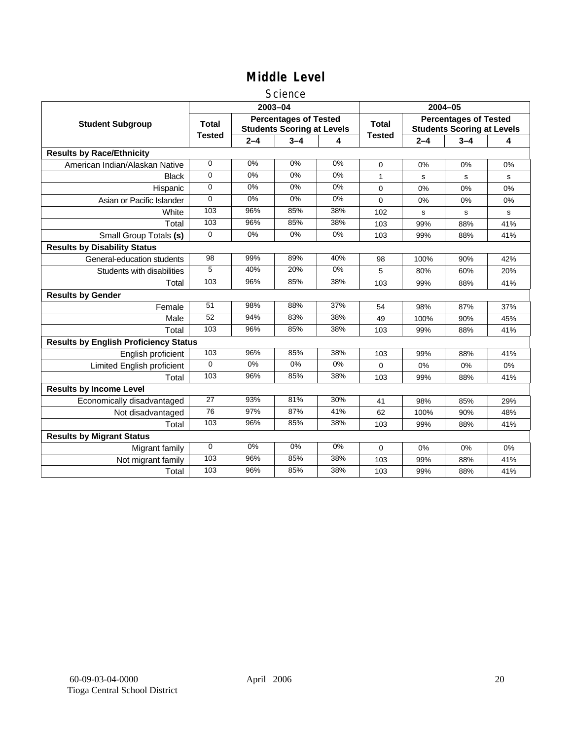#### **Science**

|                                              |               |         | 2003-04                                                           |       | 2004-05       |             |                                                                   |     |
|----------------------------------------------|---------------|---------|-------------------------------------------------------------------|-------|---------------|-------------|-------------------------------------------------------------------|-----|
| <b>Student Subgroup</b>                      | <b>Total</b>  |         | <b>Percentages of Tested</b><br><b>Students Scoring at Levels</b> |       | <b>Total</b>  |             | <b>Percentages of Tested</b><br><b>Students Scoring at Levels</b> |     |
|                                              | <b>Tested</b> | $2 - 4$ | $3 - 4$                                                           | 4     | <b>Tested</b> | $2 - 4$     | $3 - 4$                                                           | 4   |
| <b>Results by Race/Ethnicity</b>             |               |         |                                                                   |       |               |             |                                                                   |     |
| American Indian/Alaskan Native               | $\mathbf 0$   | 0%      | 0%                                                                | 0%    | $\Omega$      | 0%          | 0%                                                                | 0%  |
| <b>Black</b>                                 | 0             | 0%      | 0%                                                                | 0%    | 1             | s           | s                                                                 | s   |
| Hispanic                                     | 0             | 0%      | 0%                                                                | 0%    | $\Omega$      | 0%          | 0%                                                                | 0%  |
| Asian or Pacific Islander                    | $\Omega$      | 0%      | 0%                                                                | $0\%$ | 0             | $0\%$       | 0%                                                                | 0%  |
| White                                        | 103           | 96%     | 85%                                                               | 38%   | 102           | $\mathbf s$ | s                                                                 | s   |
| Total                                        | 103           | 96%     | 85%                                                               | 38%   | 103           | 99%         | 88%                                                               | 41% |
| Small Group Totals (s)                       | $\Omega$      | 0%      | 0%                                                                | 0%    | 103           | 99%         | 88%                                                               | 41% |
| <b>Results by Disability Status</b>          |               |         |                                                                   |       |               |             |                                                                   |     |
| General-education students                   | 98            | 99%     | 89%                                                               | 40%   | 98            | 100%        | 90%                                                               | 42% |
| Students with disabilities                   | 5             | 40%     | 20%                                                               | $0\%$ | 5             | 80%         | 60%                                                               | 20% |
| Total                                        | 103           | 96%     | 85%                                                               | 38%   | 103           | 99%         | 88%                                                               | 41% |
| <b>Results by Gender</b>                     |               |         |                                                                   |       |               |             |                                                                   |     |
| Female                                       | 51            | 98%     | 88%                                                               | 37%   | 54            | 98%         | 87%                                                               | 37% |
| Male                                         | 52            | 94%     | 83%                                                               | 38%   | 49            | 100%        | 90%                                                               | 45% |
| Total                                        | 103           | 96%     | 85%                                                               | 38%   | 103           | 99%         | 88%                                                               | 41% |
| <b>Results by English Proficiency Status</b> |               |         |                                                                   |       |               |             |                                                                   |     |
| English proficient                           | 103           | 96%     | 85%                                                               | 38%   | 103           | 99%         | 88%                                                               | 41% |
| Limited English proficient                   | $\Omega$      | $0\%$   | 0%                                                                | $0\%$ | 0             | 0%          | 0%                                                                | 0%  |
| Total                                        | 103           | 96%     | 85%                                                               | 38%   | 103           | 99%         | 88%                                                               | 41% |
| <b>Results by Income Level</b>               |               |         |                                                                   |       |               |             |                                                                   |     |
| Economically disadvantaged                   | 27            | 93%     | 81%                                                               | 30%   | 41            | 98%         | 85%                                                               | 29% |
| Not disadvantaged                            | 76            | 97%     | 87%                                                               | 41%   | 62            | 100%        | 90%                                                               | 48% |
| Total                                        | 103           | 96%     | 85%                                                               | 38%   | 103           | 99%         | 88%                                                               | 41% |
| <b>Results by Migrant Status</b>             |               |         |                                                                   |       |               |             |                                                                   |     |
| Migrant family                               | $\mathbf 0$   | 0%      | 0%                                                                | 0%    | 0             | 0%          | 0%                                                                | 0%  |
| Not migrant family                           | 103           | 96%     | 85%                                                               | 38%   | 103           | 99%         | 88%                                                               | 41% |
| Total                                        | 103           | 96%     | 85%                                                               | 38%   | 103           | 99%         | 88%                                                               | 41% |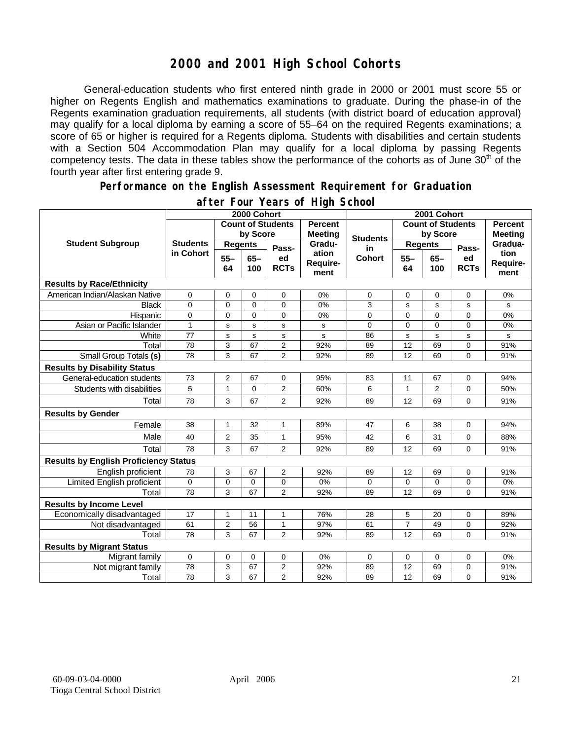## **2000 and 2001 High School Cohorts**

General-education students who first entered ninth grade in 2000 or 2001 must score 55 or higher on Regents English and mathematics examinations to graduate. During the phase-in of the Regents examination graduation requirements, all students (with district board of education approval) may qualify for a local diploma by earning a score of 55–64 on the required Regents examinations; a score of 65 or higher is required for a Regents diploma. Students with disabilities and certain students with a Section 504 Accommodation Plan may qualify for a local diploma by passing Regents competency tests. The data in these tables show the performance of the cohorts as of June  $30<sup>th</sup>$  of the fourth year after first entering grade 9.

#### **Performance on the English Assessment Requirement for Graduation**

|                                              | 2000 Cohort                  |                          |               |                   |                                  | 2001 Cohort              |                |               |                   |                          |
|----------------------------------------------|------------------------------|--------------------------|---------------|-------------------|----------------------------------|--------------------------|----------------|---------------|-------------------|--------------------------|
| <b>Student Subgroup</b>                      |                              | <b>Count of Students</b> |               |                   | <b>Percent</b><br><b>Meeting</b> | <b>Count of Students</b> |                |               |                   | <b>Percent</b>           |
|                                              | <b>Students</b><br>in Cohort | by Score                 |               |                   |                                  | <b>Students</b>          | by Score       |               | <b>Meeting</b>    |                          |
|                                              |                              | <b>Regents</b>           |               | Pass-             | Gradu-                           | in                       | <b>Regents</b> |               | Pass-             | Gradua-                  |
|                                              |                              | $55 -$<br>64             | $65 -$<br>100 | ed<br><b>RCTs</b> | ation<br>Require-<br>ment        | <b>Cohort</b>            | $55 -$<br>64   | $65 -$<br>100 | ed<br><b>RCTs</b> | tion<br>Require-<br>ment |
| <b>Results by Race/Ethnicity</b>             |                              |                          |               |                   |                                  |                          |                |               |                   |                          |
| American Indian/Alaskan Native               | 0                            | 0                        | $\mathbf 0$   | 0                 | 0%                               | $\mathbf 0$              | 0              | $\mathbf 0$   | 0                 | 0%                       |
| <b>Black</b>                                 | $\Omega$                     | $\mathbf{0}$             | $\mathbf{0}$  | $\overline{0}$    | 0%                               | 3                        | s              | s             | s                 | s                        |
| Hispanic                                     | 0                            | 0                        | 0             | 0                 | 0%                               | 0                        | 0              | $\mathbf 0$   | 0                 | 0%                       |
| Asian or Pacific Islander                    | $\mathbf{1}$                 | S                        | $\mathbf s$   | s                 | s                                | 0                        | $\overline{0}$ | $\mathbf 0$   | $\overline{0}$    | 0%                       |
| White                                        | 77                           | $\mathbf S$              | ${\tt s}$     | s                 | s                                | 86                       | s              | $\mathbf s$   | s                 | s                        |
| Total                                        | 78                           | 3                        | 67            | $\overline{2}$    | 92%                              | 89                       | 12             | 69            | 0                 | 91%                      |
| Small Group Totals (s)                       | 78                           | 3                        | 67            | $\overline{2}$    | 92%                              | 89                       | 12             | 69            | 0                 | 91%                      |
| <b>Results by Disability Status</b>          |                              |                          |               |                   |                                  |                          |                |               |                   |                          |
| General-education students                   | 73                           | $\overline{\mathbf{c}}$  | 67            | $\mathbf 0$       | 95%                              | 83                       | 11             | 67            | 0                 | 94%                      |
| Students with disabilities                   | 5                            | $\mathbf{1}$             | $\mathbf 0$   | 2                 | 60%                              | 6                        | $\mathbf{1}$   | 2             | 0                 | 50%                      |
| Total                                        | 78                           | 3                        | 67            | 2                 | 92%                              | 89                       | 12             | 69            | 0                 | 91%                      |
| <b>Results by Gender</b>                     |                              |                          |               |                   |                                  |                          |                |               |                   |                          |
| Female                                       | 38                           | $\mathbf{1}$             | 32            | $\mathbf{1}$      | 89%                              | 47                       | 6              | 38            | 0                 | 94%                      |
| Male                                         | 40                           | 2                        | 35            | $\mathbf{1}$      | 95%                              | 42                       | 6              | 31            | 0                 | 88%                      |
| Total                                        | 78                           | 3                        | 67            | $\overline{2}$    | 92%                              | 89                       | 12             | 69            | 0                 | 91%                      |
| <b>Results by English Proficiency Status</b> |                              |                          |               |                   |                                  |                          |                |               |                   |                          |
| English proficient                           | 78                           | 3                        | 67            | 2                 | 92%                              | 89                       | 12             | 69            | 0                 | 91%                      |
| Limited English proficient                   | 0                            | $\mathbf 0$              | $\mathbf 0$   | 0                 | 0%                               | 0                        | 0              | $\mathbf 0$   | 0                 | 0%                       |
| Total                                        | 78                           | 3                        | 67            | $\overline{2}$    | 92%                              | 89                       | 12             | 69            | $\Omega$          | 91%                      |
| <b>Results by Income Level</b>               |                              |                          |               |                   |                                  |                          |                |               |                   |                          |
| Economically disadvantaged                   | 17                           | $\mathbf{1}$             | 11            | $\mathbf{1}$      | 76%                              | 28                       | 5              | 20            | 0                 | 89%                      |
| Not disadvantaged                            | 61                           | $\overline{c}$           | 56            | $\mathbf{1}$      | 97%                              | 61                       | $\overline{7}$ | 49            | 0                 | 92%                      |
| Total                                        | 78                           | 3                        | 67            | $\overline{2}$    | 92%                              | 89                       | 12             | 69            | 0                 | 91%                      |
| <b>Results by Migrant Status</b>             |                              |                          |               |                   |                                  |                          |                |               |                   |                          |
| Migrant family                               | 0                            | 0                        | 0             | 0                 | 0%                               | 0                        | 0              | 0             | 0                 | 0%                       |
| Not migrant family                           | 78                           | 3                        | 67            | 2                 | 92%                              | 89                       | 12             | 69            | 0                 | 91%                      |
| Total                                        | 78                           | 3                        | 67            | $\overline{2}$    | 92%                              | 89                       | 12             | 69            | 0                 | 91%                      |

#### **after Four Years of High School**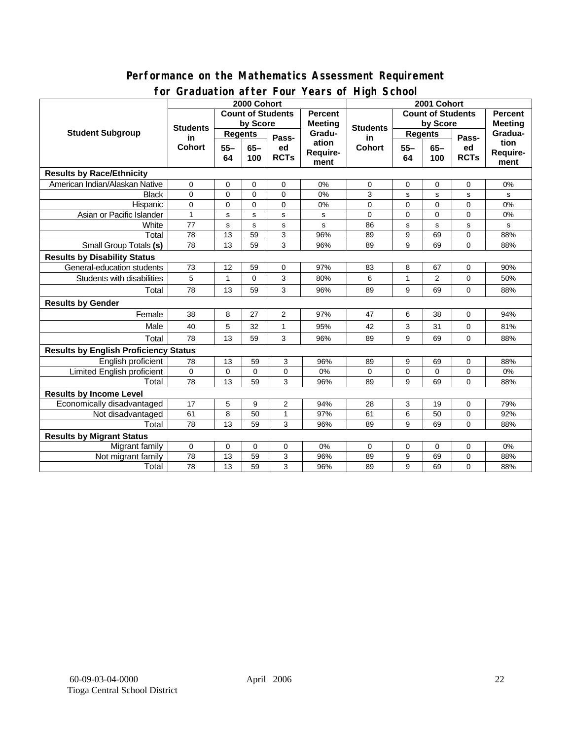#### **Performance on the Mathematics Assessment Requirement for Graduation after Four Years of High School**

|                                              | $\frac{1}{2}$<br>2000 Cohort     |                                     |             |                |                | 2001 Cohort                                |                |                |                |                |
|----------------------------------------------|----------------------------------|-------------------------------------|-------------|----------------|----------------|--------------------------------------------|----------------|----------------|----------------|----------------|
| <b>Student Subgroup</b>                      |                                  | <b>Count of Students</b><br>Percent |             |                |                | <b>Count of Students</b><br><b>Percent</b> |                |                |                |                |
|                                              | <b>Students</b><br>in.<br>Cohort | by Score                            |             |                | <b>Meeting</b> |                                            | by Score       |                |                | <b>Meeting</b> |
|                                              |                                  | <b>Regents</b>                      |             | Pass-          | Gradu-         | <b>Students</b><br>in                      | Regents        |                | Pass-          | Gradua-        |
|                                              |                                  | $55 -$                              | $65-$       | ed             | ation          | <b>Cohort</b>                              | $55 -$         | $65-$          | ed             | tion           |
|                                              |                                  | 64                                  | 100         | <b>RCTs</b>    | Require-       |                                            | 64             | 100            | <b>RCTs</b>    | Require-       |
|                                              |                                  |                                     |             |                | ment           |                                            |                |                |                | ment           |
| <b>Results by Race/Ethnicity</b>             |                                  |                                     |             |                |                |                                            |                |                |                |                |
| American Indian/Alaskan Native               | 0                                | $\mathbf 0$                         | $\mathbf 0$ | $\mathbf 0$    | 0%             | $\mathbf 0$                                | 0              | $\mathbf 0$    | $\mathbf 0$    | 0%             |
| <b>Black</b>                                 | $\Omega$                         | $\mathbf 0$                         | $\mathbf 0$ | $\Omega$       | 0%             | 3                                          | s              | s              | s              | s              |
| Hispanic                                     | $\overline{0}$                   | $\mathbf 0$                         | $\Omega$    | $\Omega$       | 0%             | $\Omega$                                   | $\overline{0}$ | $\Omega$       | $\overline{0}$ | 0%             |
| Asian or Pacific Islander                    | $\mathbf{1}$                     | s                                   | s           | s              | s              | $\Omega$                                   | $\Omega$       | $\overline{0}$ | $\Omega$       | 0%             |
| White                                        | 77                               | s                                   | s           | s              | s              | 86                                         | s              | $\mathbf{s}$   | s              | s              |
| Total                                        | 78                               | 13                                  | 59          | 3              | 96%            | 89                                         | 9              | 69             | 0              | 88%            |
| Small Group Totals (s)                       | 78                               | 13                                  | 59          | 3              | 96%            | 89                                         | 9              | 69             | $\Omega$       | 88%            |
| <b>Results by Disability Status</b>          |                                  |                                     |             |                |                |                                            |                |                |                |                |
| General-education students                   | 73                               | 12                                  | 59          | 0              | 97%            | 83                                         | 8              | 67             | 0              | 90%            |
| Students with disabilities                   | 5                                | $\mathbf{1}$                        | $\Omega$    | 3              | 80%            | 6                                          | 1              | 2              | 0              | 50%            |
| Total                                        | 78                               | 13                                  | 59          | 3              | 96%            | 89                                         | 9              | 69             | $\Omega$       | 88%            |
| <b>Results by Gender</b>                     |                                  |                                     |             |                |                |                                            |                |                |                |                |
| Female                                       | 38                               | 8                                   | 27          | 2              | 97%            | 47                                         | 6              | 38             | 0              | 94%            |
| Male                                         | 40                               | 5                                   | 32          | $\mathbf{1}$   | 95%            | 42                                         | 3              | 31             | $\Omega$       | 81%            |
| Total                                        | 78                               | 13                                  | 59          | 3              | 96%            | 89                                         | 9              | 69             | $\Omega$       | 88%            |
| <b>Results by English Proficiency Status</b> |                                  |                                     |             |                |                |                                            |                |                |                |                |
| English proficient                           | 78                               | 13                                  | 59          | 3              | 96%            | 89                                         | 9              | 69             | 0              | 88%            |
| <b>Limited English proficient</b>            | $\mathbf 0$                      | $\mathbf 0$                         | $\mathbf 0$ | $\mathbf 0$    | 0%             | $\Omega$                                   | 0              | $\mathbf 0$    | 0              | 0%             |
| Total                                        | 78                               | 13                                  | 59          | 3              | 96%            | 89                                         | 9              | 69             | $\Omega$       | 88%            |
| <b>Results by Income Level</b>               |                                  |                                     |             |                |                |                                            |                |                |                |                |
| Economically disadvantaged                   | 17                               | 5                                   | 9           | $\overline{2}$ | 94%            | 28                                         | 3              | 19             | $\mathbf 0$    | 79%            |
| Not disadvantaged                            | 61                               | 8                                   | 50          | $\mathbf{1}$   | 97%            | 61                                         | 6              | 50             | 0              | 92%            |
| Total                                        | 78                               | 13                                  | 59          | 3              | 96%            | 89                                         | 9              | 69             | $\Omega$       | 88%            |
| <b>Results by Migrant Status</b>             |                                  |                                     |             |                |                |                                            |                |                |                |                |
| Migrant family                               | 0                                | 0                                   | 0           | 0              | 0%             | $\mathbf 0$                                | 0              | 0              | 0              | 0%             |
| Not migrant family                           | 78                               | 13                                  | 59          | 3              | 96%            | 89                                         | 9              | 69             | 0              | 88%            |
| Total                                        | 78                               | 13                                  | 59          | 3              | 96%            | 89                                         | 9              | 69             | 0              | 88%            |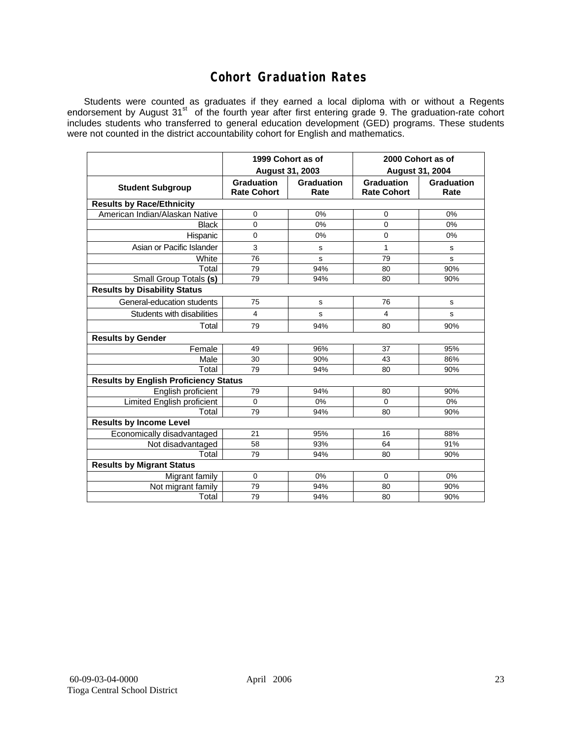## **Cohort Graduation Rates**

Students were counted as graduates if they earned a local diploma with or without a Regents endorsement by August 31<sup>st</sup> of the fourth year after first entering grade 9. The graduation-rate cohort includes students who transferred to general education development (GED) programs. These students were not counted in the district accountability cohort for English and mathematics.

|                                              | 1999 Cohort as of                |                    | 2000 Cohort as of                |                    |  |  |  |  |  |  |  |
|----------------------------------------------|----------------------------------|--------------------|----------------------------------|--------------------|--|--|--|--|--|--|--|
|                                              | August 31, 2003                  |                    | <b>August 31, 2004</b>           |                    |  |  |  |  |  |  |  |
| <b>Student Subgroup</b>                      | Graduation<br><b>Rate Cohort</b> | Graduation<br>Rate | Graduation<br><b>Rate Cohort</b> | Graduation<br>Rate |  |  |  |  |  |  |  |
| <b>Results by Race/Ethnicity</b>             |                                  |                    |                                  |                    |  |  |  |  |  |  |  |
| American Indian/Alaskan Native               | 0                                | 0%                 | 0                                | 0%                 |  |  |  |  |  |  |  |
| <b>Black</b>                                 | $\mathbf{0}$                     | 0%                 | 0                                | 0%                 |  |  |  |  |  |  |  |
| Hispanic                                     | $\mathbf 0$                      | 0%                 | $\mathbf 0$                      | 0%                 |  |  |  |  |  |  |  |
| Asian or Pacific Islander                    | 3                                | s                  | 1                                | s                  |  |  |  |  |  |  |  |
| White                                        | 76                               | s                  | 79                               | s                  |  |  |  |  |  |  |  |
| Total                                        | 79                               | 94%                | 80                               | 90%                |  |  |  |  |  |  |  |
| Small Group Totals (s)                       | 79                               | 94%                | 80                               | 90%                |  |  |  |  |  |  |  |
| <b>Results by Disability Status</b>          |                                  |                    |                                  |                    |  |  |  |  |  |  |  |
| General-education students                   | 75                               | s                  | 76                               | s                  |  |  |  |  |  |  |  |
| Students with disabilities                   | 4                                | S                  | 4                                | s                  |  |  |  |  |  |  |  |
| Total                                        | 79                               | 94%                | 80                               | 90%                |  |  |  |  |  |  |  |
| <b>Results by Gender</b>                     |                                  |                    |                                  |                    |  |  |  |  |  |  |  |
| Female                                       | 49                               | 96%                | 37                               | 95%                |  |  |  |  |  |  |  |
| Male                                         | 30                               | 90%                | 43                               | 86%                |  |  |  |  |  |  |  |
| Total                                        | 79                               | 94%                | 80                               | 90%                |  |  |  |  |  |  |  |
| <b>Results by English Proficiency Status</b> |                                  |                    |                                  |                    |  |  |  |  |  |  |  |
| English proficient                           | 79                               | 94%                | 80                               | 90%                |  |  |  |  |  |  |  |
| <b>Limited English proficient</b>            | $\Omega$                         | 0%                 | $\Omega$                         | 0%                 |  |  |  |  |  |  |  |
| Total                                        | 79                               | 94%                | 80                               | 90%                |  |  |  |  |  |  |  |
| <b>Results by Income Level</b>               |                                  |                    |                                  |                    |  |  |  |  |  |  |  |
| Economically disadvantaged                   | 21                               | 95%                | 16                               | 88%                |  |  |  |  |  |  |  |
| Not disadvantaged                            | 58                               | 93%                | 64                               | 91%                |  |  |  |  |  |  |  |
| Total                                        | 79                               | 94%                | 80                               | 90%                |  |  |  |  |  |  |  |
| <b>Results by Migrant Status</b>             |                                  |                    |                                  |                    |  |  |  |  |  |  |  |
| Migrant family                               | 0                                | 0%                 | $\mathbf 0$                      | 0%                 |  |  |  |  |  |  |  |
| Not migrant family                           | 79                               | 94%                | 80                               | 90%                |  |  |  |  |  |  |  |
| Total                                        | 79                               | 94%                | 80                               | 90%                |  |  |  |  |  |  |  |